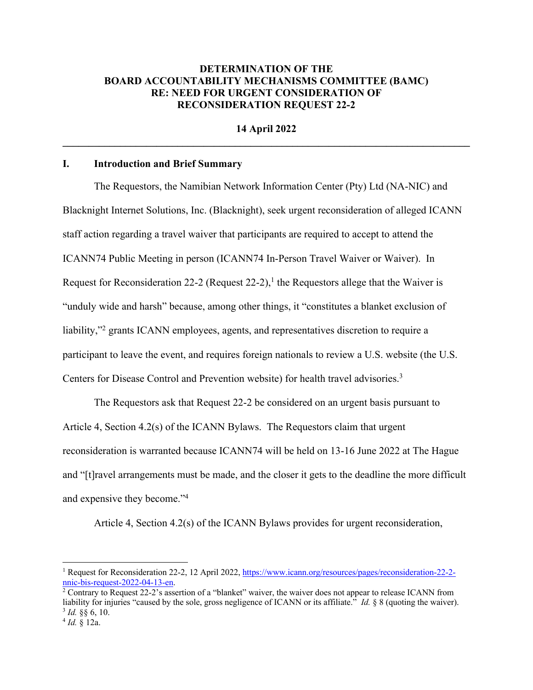## **DETERMINATION OF THE BOARD ACCOUNTABILITY MECHANISMS COMMITTEE (BAMC) RE: NEED FOR URGENT CONSIDERATION OF RECONSIDERATION REQUEST 22-2**

**14 April 2022**  $\mathcal{L}_\mathcal{L} = \{ \mathcal{L}_\mathcal{L} = \{ \mathcal{L}_\mathcal{L} = \{ \mathcal{L}_\mathcal{L} = \{ \mathcal{L}_\mathcal{L} = \{ \mathcal{L}_\mathcal{L} = \{ \mathcal{L}_\mathcal{L} = \{ \mathcal{L}_\mathcal{L} = \{ \mathcal{L}_\mathcal{L} = \{ \mathcal{L}_\mathcal{L} = \{ \mathcal{L}_\mathcal{L} = \{ \mathcal{L}_\mathcal{L} = \{ \mathcal{L}_\mathcal{L} = \{ \mathcal{L}_\mathcal{L} = \{ \mathcal{L}_\mathcal{$ 

#### **I. Introduction and Brief Summary**

The Requestors, the Namibian Network Information Center (Pty) Ltd (NA-NIC) and Blacknight Internet Solutions, Inc. (Blacknight), seek urgent reconsideration of alleged ICANN staff action regarding a travel waiver that participants are required to accept to attend the ICANN74 Public Meeting in person (ICANN74 In-Person Travel Waiver or Waiver). In Request for Reconsideration 22-2 (Request 22-2),<sup>1</sup> the Requestors allege that the Waiver is "unduly wide and harsh" because, among other things, it "constitutes a blanket exclusion of liability,"2 grants ICANN employees, agents, and representatives discretion to require a participant to leave the event, and requires foreign nationals to review a U.S. website (the U.S. Centers for Disease Control and Prevention website) for health travel advisories.3

The Requestors ask that Request 22-2 be considered on an urgent basis pursuant to Article 4, Section 4.2(s) of the ICANN Bylaws. The Requestors claim that urgent reconsideration is warranted because ICANN74 will be held on 13-16 June 2022 at The Hague and "[t]ravel arrangements must be made, and the closer it gets to the deadline the more difficult and expensive they become."<sup>4</sup>

Article 4, Section 4.2(s) of the ICANN Bylaws provides for urgent reconsideration,

<sup>1</sup> Request for Reconsideration 22-2, 12 April 2022, https://www.icann.org/resources/pages/reconsideration-22-2 nnic-bis-request-2022-04-13-en.

<sup>2</sup> Contrary to Request 22-2's assertion of a "blanket" waiver, the waiver does not appear to release ICANN from liability for injuries "caused by the sole, gross negligence of ICANN or its affiliate." *Id.* § 8 (quoting the waiver).  $^{3}$  *Id.* §§ 6, 10.<br><sup>4</sup> *Id.* § 12a.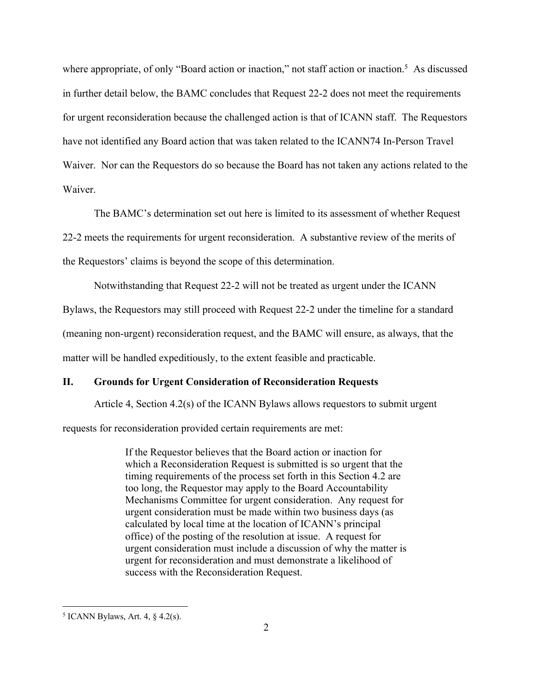where appropriate, of only "Board action or inaction," not staff action or inaction.<sup>5</sup> As discussed in further detail below, the BAMC concludes that Request 22-2 does not meet the requirements for urgent reconsideration because the challenged action is that of ICANN staff. The Requestors have not identified any Board action that was taken related to the ICANN74 In-Person Travel Waiver. Nor can the Requestors do so because the Board has not taken any actions related to the Waiver.

The BAMC's determination set out here is limited to its assessment of whether Request 22-2 meets the requirements for urgent reconsideration. A substantive review of the merits of the Requestors' claims is beyond the scope of this determination.

Notwithstanding that Request 22-2 will not be treated as urgent under the ICANN Bylaws, the Requestors may still proceed with Request 22-2 under the timeline for a standard (meaning non-urgent) reconsideration request, and the BAMC will ensure, as always, that the matter will be handled expeditiously, to the extent feasible and practicable.

#### **II. Grounds for Urgent Consideration of Reconsideration Requests**

Article 4, Section 4.2(s) of the ICANN Bylaws allows requestors to submit urgent requests for reconsideration provided certain requirements are met:

> If the Requestor believes that the Board action or inaction for which a Reconsideration Request is submitted is so urgent that the timing requirements of the process set forth in this Section 4.2 are too long, the Requestor may apply to the Board Accountability Mechanisms Committee for urgent consideration. Any request for urgent consideration must be made within two business days (as calculated by local time at the location of ICANN's principal office) of the posting of the resolution at issue. A request for urgent consideration must include a discussion of why the matter is urgent for reconsideration and must demonstrate a likelihood of success with the Reconsideration Request.

 $5$  ICANN Bylaws, Art. 4,  $\S$  4.2(s).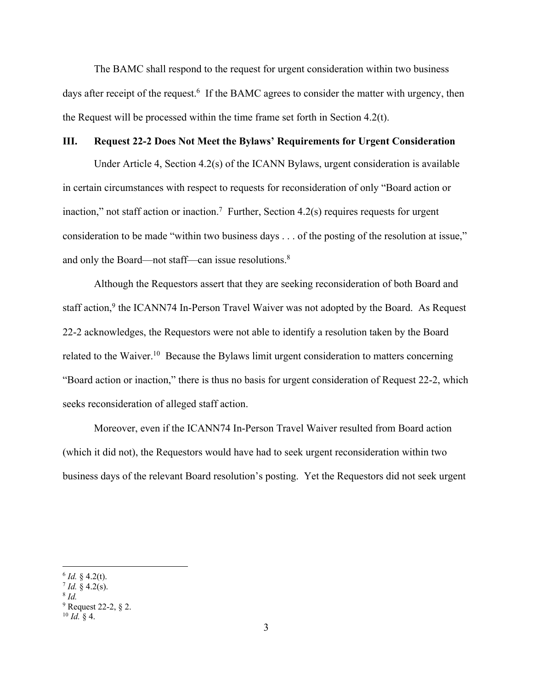The BAMC shall respond to the request for urgent consideration within two business days after receipt of the request.<sup>6</sup> If the BAMC agrees to consider the matter with urgency, then the Request will be processed within the time frame set forth in Section 4.2(t).

### **III. Request 22-2 Does Not Meet the Bylaws' Requirements for Urgent Consideration**

Under Article 4, Section 4.2(s) of the ICANN Bylaws, urgent consideration is available in certain circumstances with respect to requests for reconsideration of only "Board action or inaction," not staff action or inaction.<sup>7</sup> Further, Section 4.2(s) requires requests for urgent consideration to be made "within two business days . . . of the posting of the resolution at issue," and only the Board—not staff—can issue resolutions.<sup>8</sup>

Although the Requestors assert that they are seeking reconsideration of both Board and staff action,<sup>9</sup> the ICANN74 In-Person Travel Waiver was not adopted by the Board. As Request 22-2 acknowledges, the Requestors were not able to identify a resolution taken by the Board related to the Waiver.<sup>10</sup> Because the Bylaws limit urgent consideration to matters concerning "Board action or inaction," there is thus no basis for urgent consideration of Request 22-2, which seeks reconsideration of alleged staff action.

Moreover, even if the ICANN74 In-Person Travel Waiver resulted from Board action (which it did not), the Requestors would have had to seek urgent reconsideration within two business days of the relevant Board resolution's posting. Yet the Requestors did not seek urgent

 $6$  *Id.* § 4.2(t).

 $7$  *Id.* § 4.2(s).

<sup>8</sup> *Id.*

 $9$  Request 22-2,  $\S$  2.

 $^{10}$  *Id.* § 4.